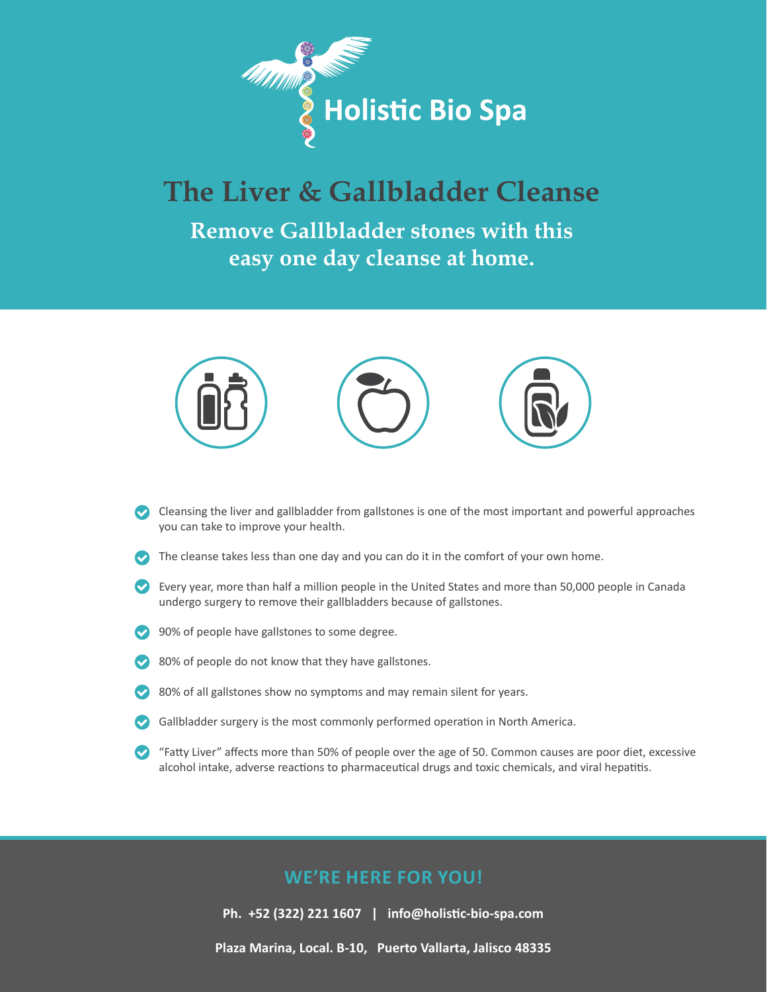

# **The Liver & Gallbladder Cleanse**

**Remove Gallbladder stones with this easy one day cleanse at home.**



- Cleansing the liver and gallbladder from gallstones is one of the most important and powerful approaches you can take to improve your health.
- The cleanse takes less than one day and you can do it in the comfort of your own home.
- Every year, more than half a million people in the United States and more than 50,000 people in Canada undergo surgery to remove their gallbladders because of gallstones.
- 90% of people have gallstones to some degree.
- 80% of people do not know that they have gallstones.
- $\triangledown$  80% of all gallstones show no symptoms and may remain silent for years.
- Gallbladder surgery is the most commonly performed operation in North America.
- $\bullet$  "Fatty Liver" affects more than 50% of people over the age of 50. Common causes are poor diet, excessive alcohol intake, adverse reactions to pharmaceutical drugs and toxic chemicals, and viral hepatitis.

## **WE'RE HERE FOR YOU!**

**Ph. +52 (322) 221 1607 | [info@holistic-bio-spa.com](mailto:info%40holistic-bio-spa.com?subject=)**

**Plaza Marina, Local. B-10, Puerto Vallarta, Jalisco 48335**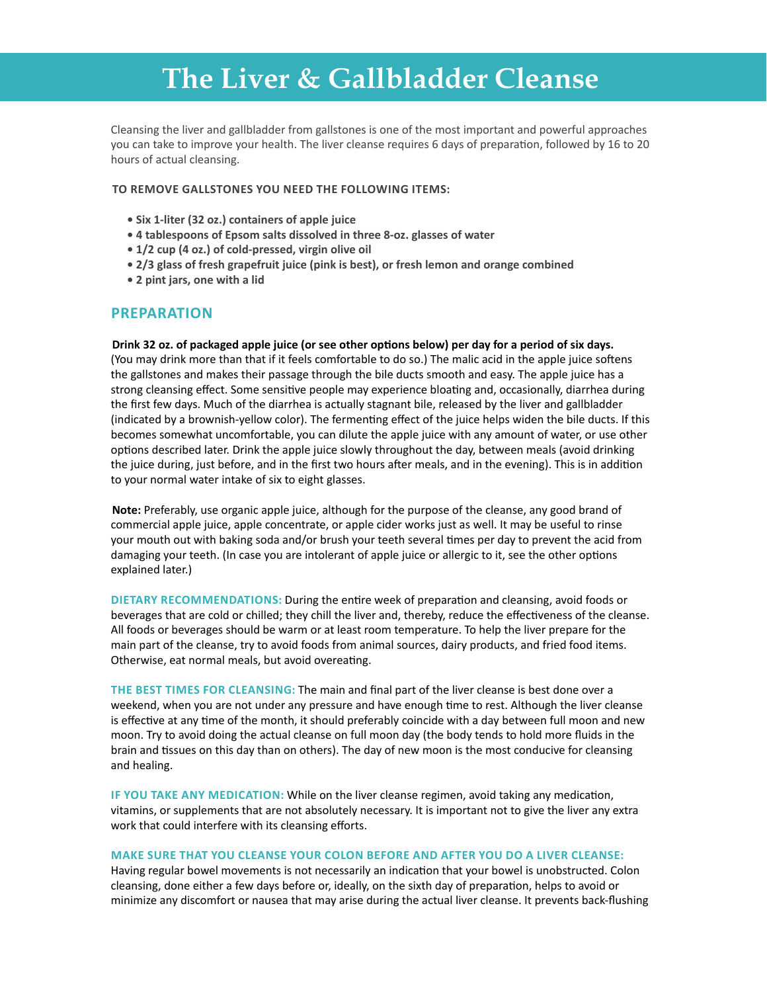# **The Liver & Gallbladder Cleanse**

Cleansing the liver and gallbladder from gallstones is one of the most important and powerful approaches you can take to improve your health. The liver cleanse requires 6 days of preparation, followed by 16 to 20 hours of actual cleansing.

#### **TO REMOVE GALLSTONES YOU NEED THE FOLLOWING ITEMS:**

- **Six 1-liter (32 oz.) containers of apple juice**
- **4 tablespoons of Epsom salts dissolved in three 8-oz. glasses of water**
- **1/2 cup (4 oz.) of cold-pressed, virgin olive oil**
- **2/3 glass of fresh grapefruit juice (pink is best), or fresh lemon and orange combined**
- **2 pint jars, one with a lid**

### **PREPARATION**

**Drink 32 oz. of packaged apple juice (or see other options below) per day for a period of six days.** (You may drink more than that if it feels comfortable to do so.) The malic acid in the apple juice softens the gallstones and makes their passage through the bile ducts smooth and easy. The apple juice has a strong cleansing effect. Some sensitive people may experience bloating and, occasionally, diarrhea during the first few days. Much of the diarrhea is actually stagnant bile, released by the liver and gallbladder (indicated by a brownish-yellow color). The fermenting effect of the juice helps widen the bile ducts. If this becomes somewhat uncomfortable, you can dilute the apple juice with any amount of water, or use other options described later. Drink the apple juice slowly throughout the day, between meals (avoid drinking the juice during, just before, and in the first two hours after meals, and in the evening). This is in addition to your normal water intake of six to eight glasses.

**Note:** Preferably, use organic apple juice, although for the purpose of the cleanse, any good brand of commercial apple juice, apple concentrate, or apple cider works just as well. It may be useful to rinse your mouth out with baking soda and/or brush your teeth several times per day to prevent the acid from damaging your teeth. (In case you are intolerant of apple juice or allergic to it, see the other options explained later.)

**DIETARY RECOMMENDATIONS:** During the entire week of preparation and cleansing, avoid foods or beverages that are cold or chilled; they chill the liver and, thereby, reduce the effectiveness of the cleanse. All foods or beverages should be warm or at least room temperature. To help the liver prepare for the main part of the cleanse, try to avoid foods from animal sources, dairy products, and fried food items. Otherwise, eat normal meals, but avoid overeating.

**THE BEST TIMES FOR CLEANSING:** The main and final part of the liver cleanse is best done over a weekend, when you are not under any pressure and have enough time to rest. Although the liver cleanse is effective at any time of the month, it should preferably coincide with a day between full moon and new moon. Try to avoid doing the actual cleanse on full moon day (the body tends to hold more fluids in the brain and tissues on this day than on others). The day of new moon is the most conducive for cleansing and healing.

**IF YOU TAKE ANY MEDICATION:** While on the liver cleanse regimen, avoid taking any medication, vitamins, or supplements that are not absolutely necessary. It is important not to give the liver any extra work that could interfere with its cleansing efforts.

#### **MAKE SURE THAT YOU CLEANSE YOUR COLON BEFORE AND AFTER YOU DO A LIVER CLEANSE:**

Having regular bowel movements is not necessarily an indication that your bowel is unobstructed. Colon cleansing, done either a few days before or, ideally, on the sixth day of preparation, helps to avoid or minimize any discomfort or nausea that may arise during the actual liver cleanse. It prevents back-flushing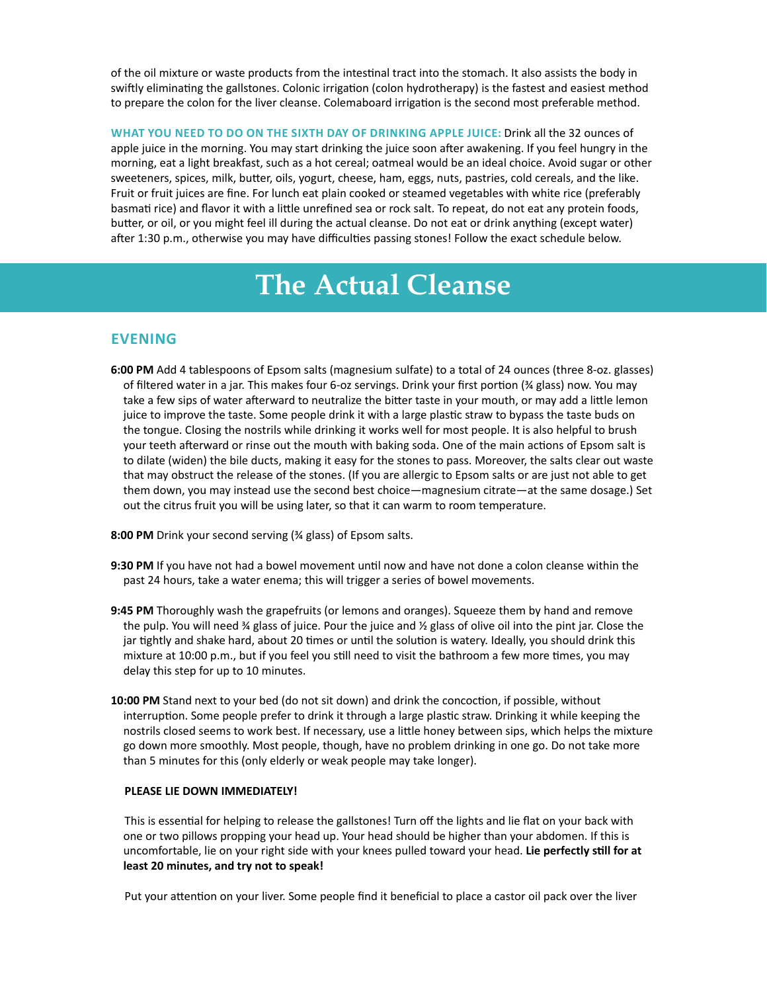of the oil mixture or waste products from the intestinal tract into the stomach. It also assists the body in swiftly eliminating the gallstones. Colonic irrigation (colon hydrotherapy) is the fastest and easiest method to prepare the colon for the liver cleanse. Colemaboard irrigation is the second most preferable method.

**WHAT YOU NEED TO DO ON THE SIXTH DAY OF DRINKING APPLE JUICE:** Drink all the 32 ounces of apple juice in the morning. You may start drinking the juice soon after awakening. If you feel hungry in the morning, eat a light breakfast, such as a hot cereal; oatmeal would be an ideal choice. Avoid sugar or other sweeteners, spices, milk, butter, oils, yogurt, cheese, ham, eggs, nuts, pastries, cold cereals, and the like. Fruit or fruit juices are fine. For lunch eat plain cooked or steamed vegetables with white rice (preferably basmati rice) and flavor it with a little unrefined sea or rock salt. To repeat, do not eat any protein foods, butter, or oil, or you might feel ill during the actual cleanse. Do not eat or drink anything (except water) after 1:30 p.m., otherwise you may have difficulties passing stones! Follow the exact schedule below.

# **The Actual Cleanse**

### **EVENING**

**6:00 PM** Add 4 tablespoons of Epsom salts (magnesium sulfate) to a total of 24 ounces (three 8-oz. glasses) of filtered water in a jar. This makes four 6-oz servings. Drink your first portion (¾ glass) now. You may take a few sips of water afterward to neutralize the bitter taste in your mouth, or may add a little lemon juice to improve the taste. Some people drink it with a large plastic straw to bypass the taste buds on the tongue. Closing the nostrils while drinking it works well for most people. It is also helpful to brush your teeth afterward or rinse out the mouth with baking soda. One of the main actions of Epsom salt is to dilate (widen) the bile ducts, making it easy for the stones to pass. Moreover, the salts clear out waste that may obstruct the release of the stones. (If you are allergic to Epsom salts or are just not able to get them down, you may instead use the second best choice—magnesium citrate—at the same dosage.) Set out the citrus fruit you will be using later, so that it can warm to room temperature.

**8:00 PM** Drink your second serving (¾ glass) of Epsom salts.

- **9:30 PM** If you have not had a bowel movement until now and have not done a colon cleanse within the past 24 hours, take a water enema; this will trigger a series of bowel movements.
- **9:45 PM** Thoroughly wash the grapefruits (or lemons and oranges). Squeeze them by hand and remove the pulp. You will need ¾ glass of juice. Pour the juice and ½ glass of olive oil into the pint jar. Close the jar tightly and shake hard, about 20 times or until the solution is watery. Ideally, you should drink this mixture at 10:00 p.m., but if you feel you still need to visit the bathroom a few more times, you may delay this step for up to 10 minutes.
- **10:00 PM** Stand next to your bed (do not sit down) and drink the concoction, if possible, without interruption. Some people prefer to drink it through a large plastic straw. Drinking it while keeping the nostrils closed seems to work best. If necessary, use a little honey between sips, which helps the mixture go down more smoothly. Most people, though, have no problem drinking in one go. Do not take more than 5 minutes for this (only elderly or weak people may take longer).

#### **PLEASE LIE DOWN IMMEDIATELY!**

This is essential for helping to release the gallstones! Turn off the lights and lie flat on your back with one or two pillows propping your head up. Your head should be higher than your abdomen. If this is uncomfortable, lie on your right side with your knees pulled toward your head. **Lie perfectly still for at least 20 minutes, and try not to speak!**

Put your attention on your liver. Some people find it beneficial to place a castor oil pack over the liver